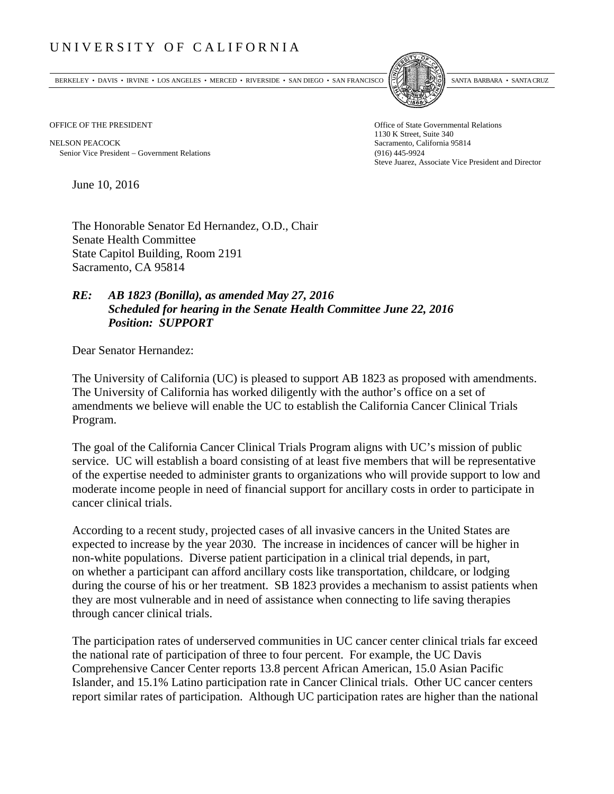## UNIVERSITY OF CALIFORNIA

BERKELEY • DAVIS • IRVINE • LOS ANGELES • MERCED • RIVERSIDE • SAN DIEGO • SAN FRANCISCO SANTA BARBARA • SANTA CRUZ



OFFICE OF THE PRESIDENT STATES OF THE PRESIDENT

NELSON PEACOCK Sacramento, California 95814 Senior Vice President Government Relations (916) 445-9924

1130 K Street, Suite 340 Steve Juarez, Associate Vice President and Director

June 10, 2016

The Honorable Senator Ed Hernandez, O.D., Chair Senate Health Committee State Capitol Building, Room 2191 Sacramento, CA 95814

## *RE: AB 1823 (Bonilla), as amended May 27, 2016 Scheduled for hearing in the Senate Health Committee June 22, 2016 Position: SUPPORT*

Dear Senator Hernandez:

The University of California (UC) is pleased to support AB 1823 as proposed with amendments. The University of California has worked diligently with the author's office on a set of amendments we believe will enable the UC to establish the California Cancer Clinical Trials Program.

The goal of the California Cancer Clinical Trials Program aligns with UC's mission of public service. UC will establish a board consisting of at least five members that will be representative of the expertise needed to administer grants to organizations who will provide support to low and moderate income people in need of financial support for ancillary costs in order to participate in cancer clinical trials.

According to a recent study, projected cases of all invasive cancers in the United States are expected to increase by the year 2030. The increase in incidences of cancer will be higher in non-white populations. Diverse patient participation in a clinical trial depends, in part, on whether a participant can afford ancillary costs like transportation, childcare, or lodging during the course of his or her treatment. SB 1823 provides a mechanism to assist patients when they are most vulnerable and in need of assistance when connecting to life saving therapies through cancer clinical trials.

The participation rates of underserved communities in UC cancer center clinical trials far exceed the national rate of participation of three to four percent. For example, the UC Davis Comprehensive Cancer Center reports 13.8 percent African American, 15.0 Asian Pacific Islander, and 15.1% Latino participation rate in Cancer Clinical trials. Other UC cancer centers report similar rates of participation. Although UC participation rates are higher than the national